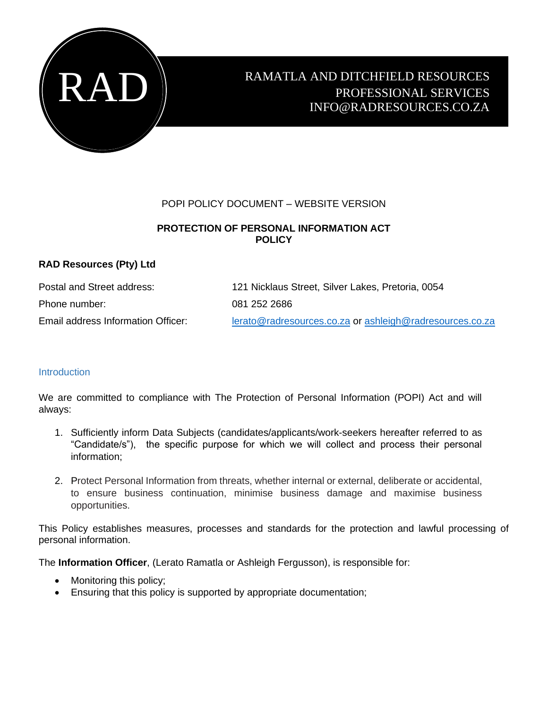

# RAMATLA AND DITCHFIELD RESOURCES PROFESSIONAL SERVICES INFO@RADRESOURCES.CO.ZA

### POPI POLICY DOCUMENT – WEBSITE VERSION

## **PROTECTION OF PERSONAL INFORMATION ACT POLICY**

### **RAD Resources (Pty) Ltd**

| Postal and Street address:         | 121 Nicklaus Street, Silver Lakes, Pretoria, 0054        |
|------------------------------------|----------------------------------------------------------|
| Phone number:                      | 081 252 2686                                             |
| Email address Information Officer: | lerato@radresources.co.za or ashleigh@radresources.co.za |

### **Introduction**

We are committed to compliance with The Protection of Personal Information (POPI) Act and will always:

- 1. Sufficiently inform Data Subjects (candidates/applicants/work-seekers hereafter referred to as "Candidate/s"), the specific purpose for which we will collect and process their personal information;
- 2. Protect Personal Information from threats, whether internal or external, deliberate or accidental, to ensure business continuation, minimise business damage and maximise business opportunities.

This Policy establishes measures, processes and standards for the protection and lawful processing of personal information.

The **Information Officer**, (Lerato Ramatla or Ashleigh Fergusson), is responsible for:

- Monitoring this policy;
- Ensuring that this policy is supported by appropriate documentation;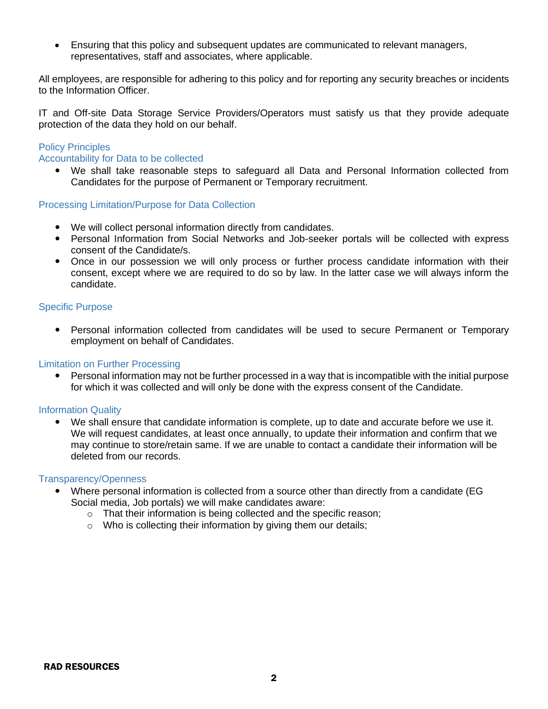• Ensuring that this policy and subsequent updates are communicated to relevant managers, representatives, staff and associates, where applicable.

All employees, are responsible for adhering to this policy and for reporting any security breaches or incidents to the Information Officer.

IT and Off-site Data Storage Service Providers/Operators must satisfy us that they provide adequate protection of the data they hold on our behalf.

#### Policy Principles

#### Accountability for Data to be collected

 We shall take reasonable steps to safeguard all Data and Personal Information collected from Candidates for the purpose of Permanent or Temporary recruitment.

#### Processing Limitation/Purpose for Data Collection

- We will collect personal information directly from candidates.
- Personal Information from Social Networks and Job-seeker portals will be collected with express consent of the Candidate/s.
- Once in our possession we will only process or further process candidate information with their consent, except where we are required to do so by law. In the latter case we will always inform the candidate.

#### Specific Purpose

 Personal information collected from candidates will be used to secure Permanent or Temporary employment on behalf of Candidates.

#### Limitation on Further Processing

• Personal information may not be further processed in a way that is incompatible with the initial purpose for which it was collected and will only be done with the express consent of the Candidate.

#### Information Quality

 We shall ensure that candidate information is complete, up to date and accurate before we use it. We will request candidates, at least once annually, to update their information and confirm that we may continue to store/retain same. If we are unable to contact a candidate their information will be deleted from our records.

#### Transparency/Openness

- Where personal information is collected from a source other than directly from a candidate (EG Social media, Job portals) we will make candidates aware:
	- o That their information is being collected and the specific reason;
	- o Who is collecting their information by giving them our details;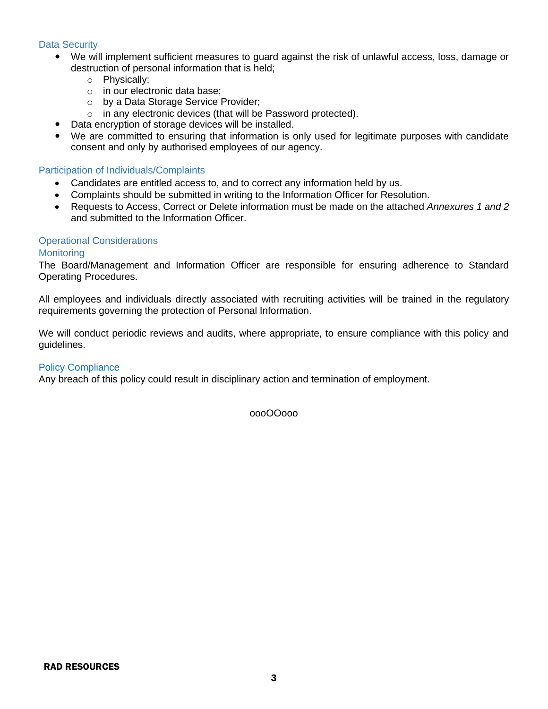#### Data Security

- We will implement sufficient measures to guard against the risk of unlawful access, loss, damage or destruction of personal information that is held;
	- o Physically;
	- o in our electronic data base;
	- o by a Data Storage Service Provider;
	- o in any electronic devices (that will be Password protected).
- Data encryption of storage devices will be installed.
- We are committed to ensuring that information is only used for legitimate purposes with candidate consent and only by authorised employees of our agency.

#### Participation of Individuals/Complaints

- Candidates are entitled access to, and to correct any information held by us.
- Complaints should be submitted in writing to the Information Officer for Resolution.
- Requests to Access, Correct or Delete information must be made on the attached *Annexures 1 and 2* and submitted to the Information Officer.

### Operational Considerations

#### **Monitoring**

The Board/Management and Information Officer are responsible for ensuring adherence to Standard Operating Procedures.

All employees and individuals directly associated with recruiting activities will be trained in the regulatory requirements governing the protection of Personal Information.

We will conduct periodic reviews and audits, where appropriate, to ensure compliance with this policy and guidelines.

#### Policy Compliance

Any breach of this policy could result in disciplinary action and termination of employment.

oooOOooo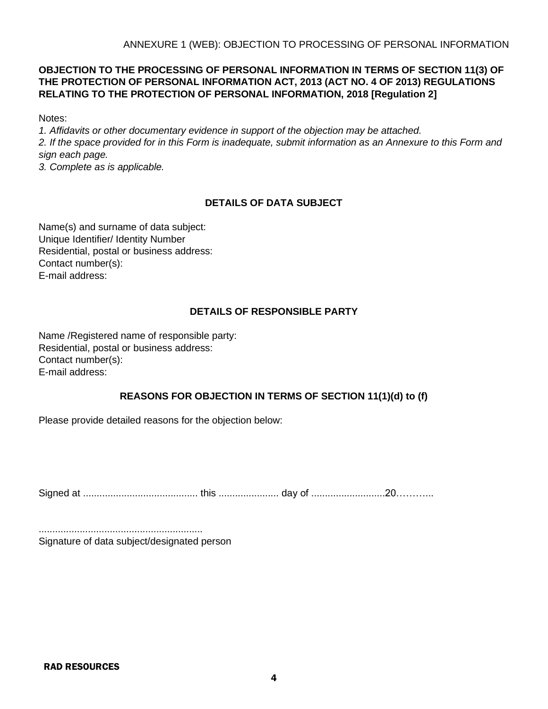# **OBJECTION TO THE PROCESSING OF PERSONAL INFORMATION IN TERMS OF SECTION 11(3) OF THE PROTECTION OF PERSONAL INFORMATION ACT, 2013 (ACT NO. 4 OF 2013) REGULATIONS RELATING TO THE PROTECTION OF PERSONAL INFORMATION, 2018 [Regulation 2]**

Notes:

*1. Affidavits or other documentary evidence in support of the objection may be attached. 2. If the space provided for in this Form is inadequate, submit information as an Annexure to this Form and sign each page.* 

*3. Complete as is applicable.* 

# **DETAILS OF DATA SUBJECT**

Name(s) and surname of data subject: Unique Identifier/ Identity Number Residential, postal or business address: Contact number(s): E-mail address:

# **DETAILS OF RESPONSIBLE PARTY**

Name /Registered name of responsible party: Residential, postal or business address: Contact number(s): E-mail address:

# **REASONS FOR OBJECTION IN TERMS OF SECTION 11(1)(d) to (f)**

Please provide detailed reasons for the objection below:

Signed at .......................................... this ...................... day of ...........................20………...

............................................................ Signature of data subject/designated person